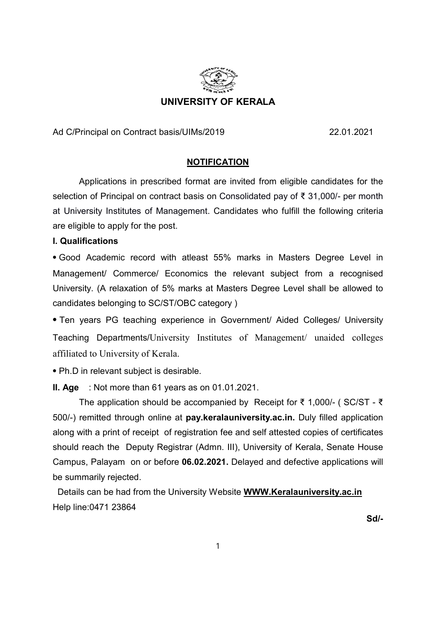

Ad C/Principal on Contract basis/UIMs/2019 22.01.2021

### **NOTIFICATION**

Applications in prescribed format are invited from eligible candidates for the selection of Principal on contract basis on Consolidated pay of ₹ 31,000/- per month at University Institutes of Management. Candidates who fulfill the following criteria are eligible to apply for the post.

#### I. Qualifications

⦁ Good Academic record with atleast 55% marks in Masters Degree Level in Management/ Commerce/ Economics the relevant subject from a recognised University. (A relaxation of 5% marks at Masters Degree Level shall be allowed to candidates belonging to SC/ST/OBC category )

⦁ Ten years PG teaching experience in Government/ Aided Colleges/ University Teaching Departments/University Institutes of Management/ unaided colleges affiliated to University of Kerala.

⦁ Ph.D in relevant subject is desirable.

II. Age : Not more than 61 years as on 01.01.2021.

The application should be accompanied by Receipt for ₹ 1,000/- ( SC/ST - ₹ 500/-) remitted through online at pay.keralauniversity.ac.in. Duly filled application along with a print of receipt of registration fee and self attested copies of certificates should reach the Deputy Registrar (Admn. III), University of Kerala, Senate House Campus, Palayam on or before 06.02.2021. Delayed and defective applications will be summarily rejected.

 Details can be had from the University Website WWW.Keralauniversity.ac.in Help line:0471 23864

Sd/-Solar Solar Solar Solar Solar Solar Solar Solar Solar Solar Solar Solar Solar Solar Solar Solar Solar Sola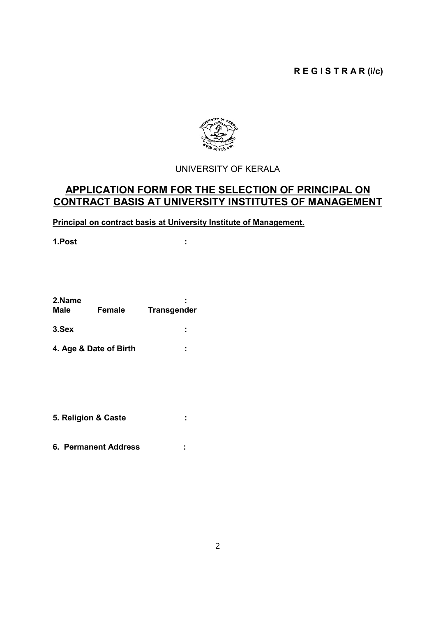# R E G I S T R A R (i/c)



# UNIVERSITY OF KERALA

# APPLICATION FORM FOR THE SELECTION OF PRINCIPAL ON CONTRACT BASIS AT UNIVERSITY INSTITUTES OF MANAGEMENT

Principal on contract basis at University Institute of Management.

1.Post :

| 2.Name<br><b>Male</b> | Female                 | <b>Transgender</b> |
|-----------------------|------------------------|--------------------|
| 3.Sex                 |                        | ٠<br>٠             |
|                       | 4. Age & Date of Birth | ٠                  |

- 5. Religion & Caste :
- 6. Permanent Address :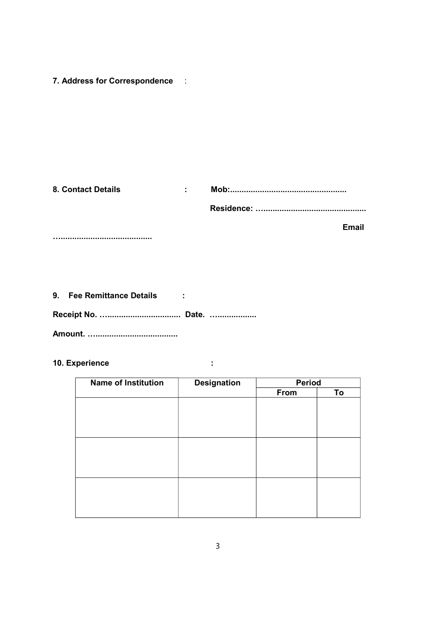7. Address for Correspondence :

| <b>8. Contact Details</b> |  |
|---------------------------|--|
|                           |  |

**Email** 

9. Fee Remittance Details : 

10. Experience

| <b>Name of Institution</b> | <b>Designation</b> | Period |    |
|----------------------------|--------------------|--------|----|
|                            |                    | From   | To |
|                            |                    |        |    |
|                            |                    |        |    |
|                            |                    |        |    |
|                            |                    |        |    |
|                            |                    |        |    |
|                            |                    |        |    |
|                            |                    |        |    |
|                            |                    |        |    |
|                            |                    |        |    |
|                            |                    |        |    |
|                            |                    |        |    |
|                            |                    |        |    |

 $\pm$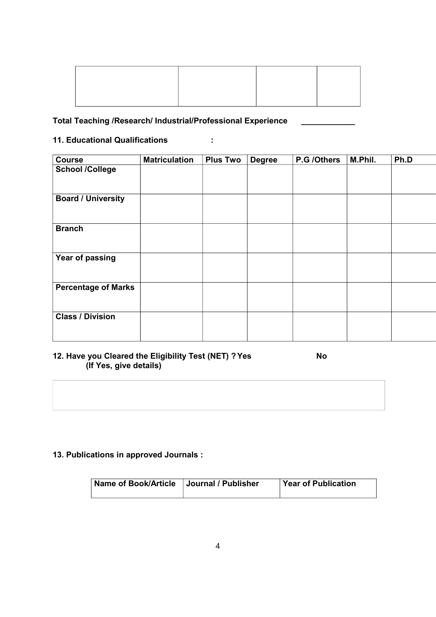# Total Teaching /Research/ Industrial/Professional Experience \_\_\_\_\_\_\_\_\_\_\_\_

# 11. Educational Qualifications :

| <b>Course</b>              | <b>Matriculation</b> | <b>Plus Two</b> | <b>Degree</b> | P.G /Others | M.Phil. | Ph.D |
|----------------------------|----------------------|-----------------|---------------|-------------|---------|------|
| <b>School /College</b>     |                      |                 |               |             |         |      |
| <b>Board / University</b>  |                      |                 |               |             |         |      |
| <b>Branch</b>              |                      |                 |               |             |         |      |
| Year of passing            |                      |                 |               |             |         |      |
| <b>Percentage of Marks</b> |                      |                 |               |             |         |      |
| <b>Class / Division</b>    |                      |                 |               |             |         |      |

# 12. Have you Cleared the Eligibility Test (NET) ? Yes No (If Yes, give details)

# 13. Publications in approved Journals :

| <b>Name of Book/Article</b> | Journal / Publisher | <b>Year of Publication</b> |
|-----------------------------|---------------------|----------------------------|
|                             |                     |                            |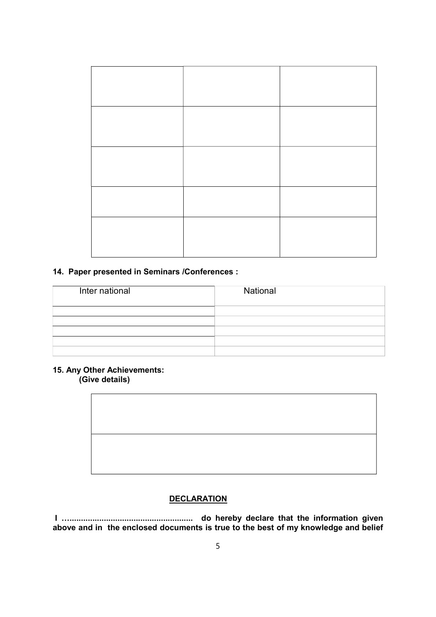#### 14. Paper presented in Seminars /Conferences :

| Inter national | National |
|----------------|----------|
|                |          |
|                |          |
|                |          |
|                |          |
|                |          |

### 15. Any Other Achievements: (Give details)



#### **DECLARATION**